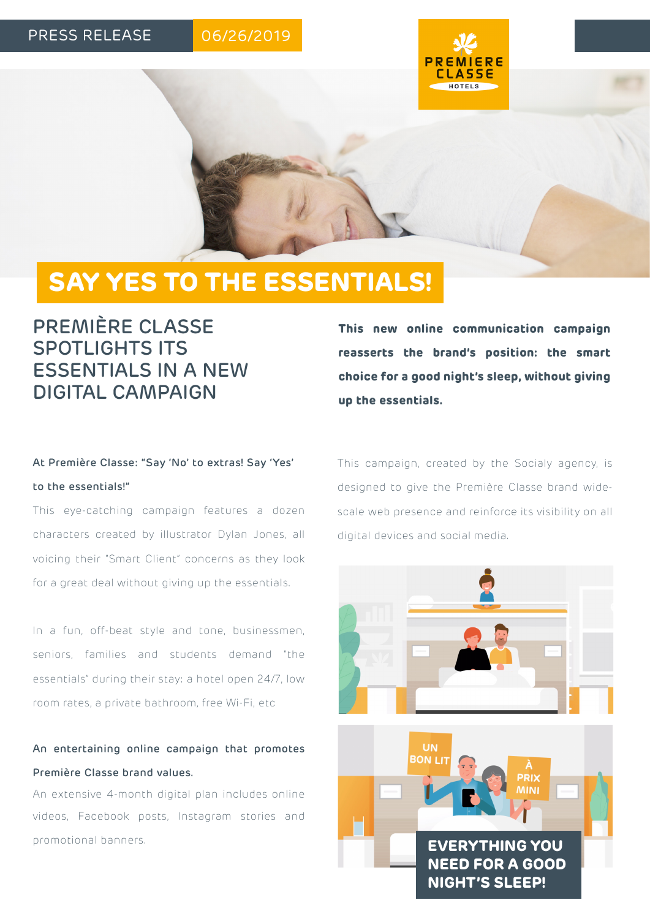### PRESS RELEASE

# 06/26/2019



# **SAY YES TO THE ESSENTIALS!**

# PREMIÈRE CLASSE SPOTLIGHTS ITS ESSENTIALS IN A NEW DIGITAL CAMPAIGN

# At Première Classe: "Say 'No' to extras! Say 'Yes' to the essentials!"

This eye-catching campaign features a dozen characters created by illustrator Dylan Jones, all voicing their "Smart Client" concerns as they look for a great deal without giving up the essentials.

In a fun, off-beat style and tone, businessmen, seniors, families and students demand "the essentials" during their stay: a hotel open 24/7, low room rates, a private bathroom, free Wi-Fi, etc

## An entertaining online campaign that promotes Première Classe brand values.

An extensive 4-month digital plan includes online videos, Facebook posts, Instagram stories and promotional banners.

**This new online communication campaign reasserts the brand's position: the smart choice for a good night's sleep, without giving up the essentials.**

This campaign, created by the Socialy agency, is designed to give the Première Classe brand widescale web presence and reinforce its visibility on all digital devices and social media.